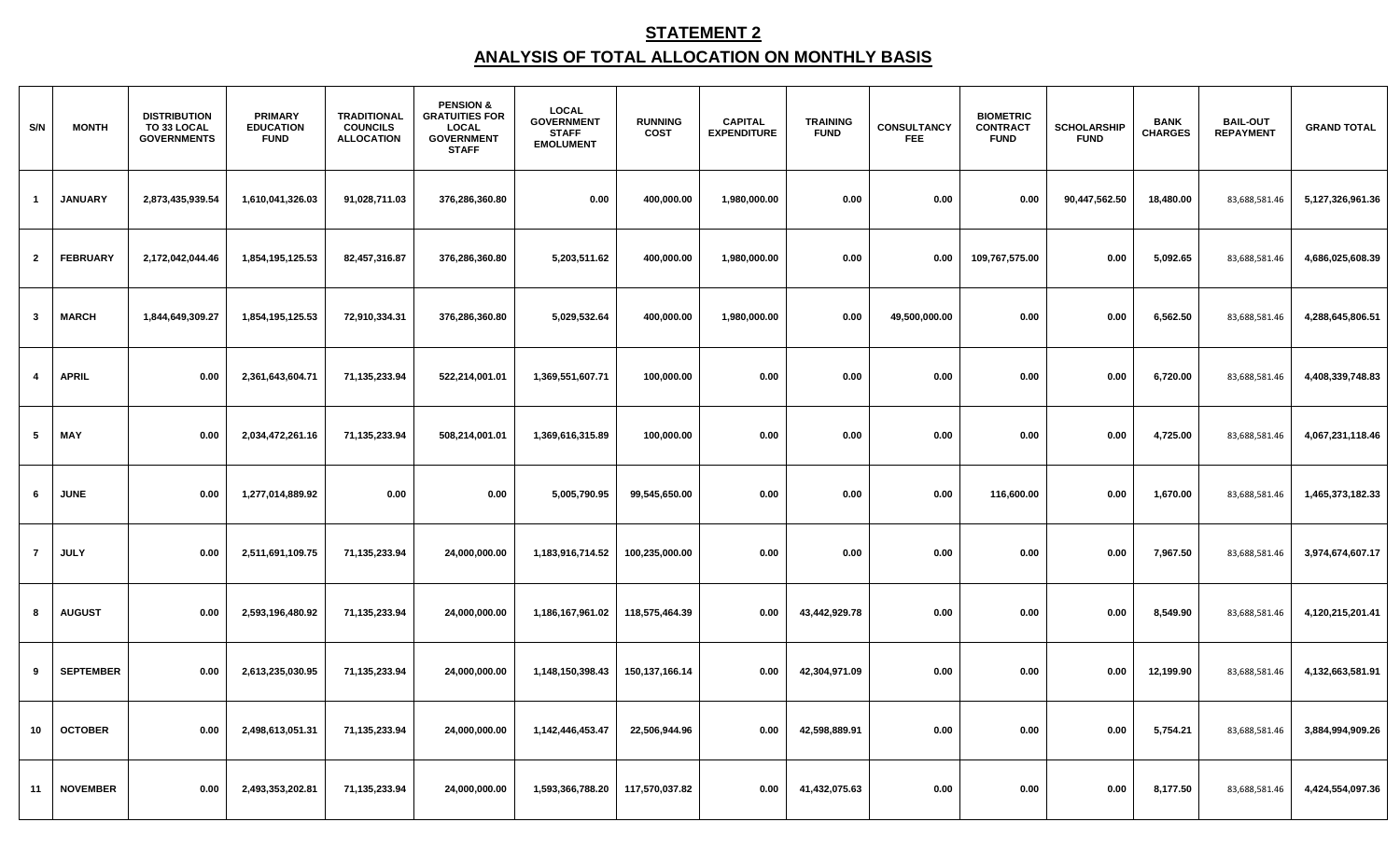## **STATEMENT 2 ANALYSIS OF TOTAL ALLOCATION ON MONTHLY BASIS**

| S/N            | <b>MONTH</b>     | <b>DISTRIBUTION</b><br>TO 33 LOCAL<br><b>GOVERNMENTS</b> | <b>PRIMARY</b><br><b>EDUCATION</b><br><b>FUND</b> | <b>TRADITIONAL</b><br><b>COUNCILS</b><br><b>ALLOCATION</b> | <b>PENSION &amp;</b><br><b>GRATUITIES FOR</b><br><b>LOCAL</b><br><b>GOVERNMENT</b><br><b>STAFF</b> | <b>LOCAL</b><br><b>GOVERNMENT</b><br><b>STAFF</b><br><b>EMOLUMENT</b> | <b>RUNNING</b><br><b>COST</b> | <b>CAPITAL</b><br><b>EXPENDITURE</b> | <b>TRAINING</b><br><b>FUND</b> | <b>CONSULTANCY</b><br><b>FEE</b> | <b>BIOMETRIC</b><br><b>CONTRACT</b><br><b>FUND</b> | <b>SCHOLARSHIP</b><br><b>FUND</b> | <b>BANK</b><br><b>CHARGES</b> | <b>BAIL-OUT</b><br><b>REPAYMENT</b> | <b>GRAND TOTAL</b> |
|----------------|------------------|----------------------------------------------------------|---------------------------------------------------|------------------------------------------------------------|----------------------------------------------------------------------------------------------------|-----------------------------------------------------------------------|-------------------------------|--------------------------------------|--------------------------------|----------------------------------|----------------------------------------------------|-----------------------------------|-------------------------------|-------------------------------------|--------------------|
| $\mathbf{1}$   | <b>JANUARY</b>   | 2,873,435,939.54                                         | 1,610,041,326.03                                  | 91,028,711.03                                              | 376,286,360.80                                                                                     | 0.00                                                                  | 400,000.00                    | 1,980,000.00                         | 0.00                           | 0.00                             | 0.00                                               | 90,447,562.50                     | 18,480.00                     | 83,688,581.46                       | 5,127,326,961.36   |
| $\overline{2}$ | <b>FEBRUARY</b>  | 2,172,042,044.46                                         | 1,854,195,125.53                                  | 82,457,316.87                                              | 376,286,360.80                                                                                     | 5,203,511.62                                                          | 400,000.00                    | 1,980,000.00                         | 0.00                           | 0.00                             | 109,767,575.00                                     | 0.00                              | 5,092.65                      | 83,688,581.46                       | 4,686,025,608.39   |
| $\mathbf{3}$   | <b>MARCH</b>     | 1,844,649,309.27                                         | 1,854,195,125.53                                  | 72,910,334.31                                              | 376,286,360.80                                                                                     | 5,029,532.64                                                          | 400,000.00                    | 1,980,000.00                         | 0.00                           | 49,500,000.00                    | 0.00                                               | 0.00                              | 6,562.50                      | 83,688,581.46                       | 4,288,645,806.51   |
| 4              | <b>APRIL</b>     | 0.00                                                     | 2,361,643,604.71                                  | 71,135,233.94                                              | 522,214,001.01                                                                                     | 1,369,551,607.71                                                      | 100,000.00                    | 0.00                                 | 0.00                           | 0.00                             | 0.00                                               | 0.00                              | 6,720.00                      | 83,688,581.46                       | 4,408,339,748.83   |
| 5              | <b>MAY</b>       | 0.00                                                     | 2,034,472,261.16                                  | 71,135,233.94                                              | 508,214,001.01                                                                                     | 1,369,616,315.89                                                      | 100,000.00                    | 0.00                                 | 0.00                           | 0.00                             | 0.00                                               | 0.00                              | 4,725.00                      | 83,688,581.46                       | 4,067,231,118.46   |
| 6              | <b>JUNE</b>      | 0.00                                                     | 1,277,014,889.92                                  | 0.00                                                       | 0.00                                                                                               | 5,005,790.95                                                          | 99,545,650.00                 | 0.00                                 | 0.00                           | 0.00                             | 116,600.00                                         | 0.00                              | 1,670.00                      | 83,688,581.46                       | 1,465,373,182.33   |
| $\overline{7}$ | <b>JULY</b>      | 0.00                                                     | 2,511,691,109.75                                  | 71,135,233.94                                              | 24,000,000.00                                                                                      | 1,183,916,714.52                                                      | 100,235,000.00                | 0.00                                 | 0.00                           | 0.00                             | 0.00                                               | 0.00                              | 7,967.50                      | 83,688,581.46                       | 3,974,674,607.17   |
| 8              | <b>AUGUST</b>    | 0.00                                                     | 2,593,196,480.92                                  | 71,135,233.94                                              | 24,000,000.00                                                                                      | 1,186,167,961.02                                                      | 118,575,464.39                | 0.00                                 | 43,442,929.78                  | 0.00                             | 0.00                                               | 0.00                              | 8,549.90                      | 83,688,581.46                       | 4,120,215,201.41   |
| 9              | <b>SEPTEMBER</b> | 0.00                                                     | 2,613,235,030.95                                  | 71,135,233.94                                              | 24,000,000.00                                                                                      | 1,148,150,398.43                                                      | 150,137,166.14                | 0.00                                 | 42,304,971.09                  | 0.00                             | 0.00                                               | 0.00                              | 12,199.90                     | 83,688,581.46                       | 4,132,663,581.91   |
| 10             | <b>OCTOBER</b>   | 0.00                                                     | 2,498,613,051.31                                  | 71,135,233.94                                              | 24,000,000.00                                                                                      | 1,142,446,453.47                                                      | 22,506,944.96                 | 0.00                                 | 42,598,889.91                  | 0.00                             | 0.00                                               | 0.00                              | 5,754.21                      | 83,688,581.46                       | 3,884,994,909.26   |
| 11             | <b>NOVEMBER</b>  | 0.00                                                     | 2,493,353,202.81                                  | 71,135,233.94                                              | 24,000,000.00                                                                                      | 1,593,366,788.20                                                      | 117,570,037.82                | 0.00                                 | 41,432,075.63                  | 0.00                             | 0.00                                               | 0.00                              | 8,177.50                      | 83,688,581.46                       | 4,424,554,097.36   |